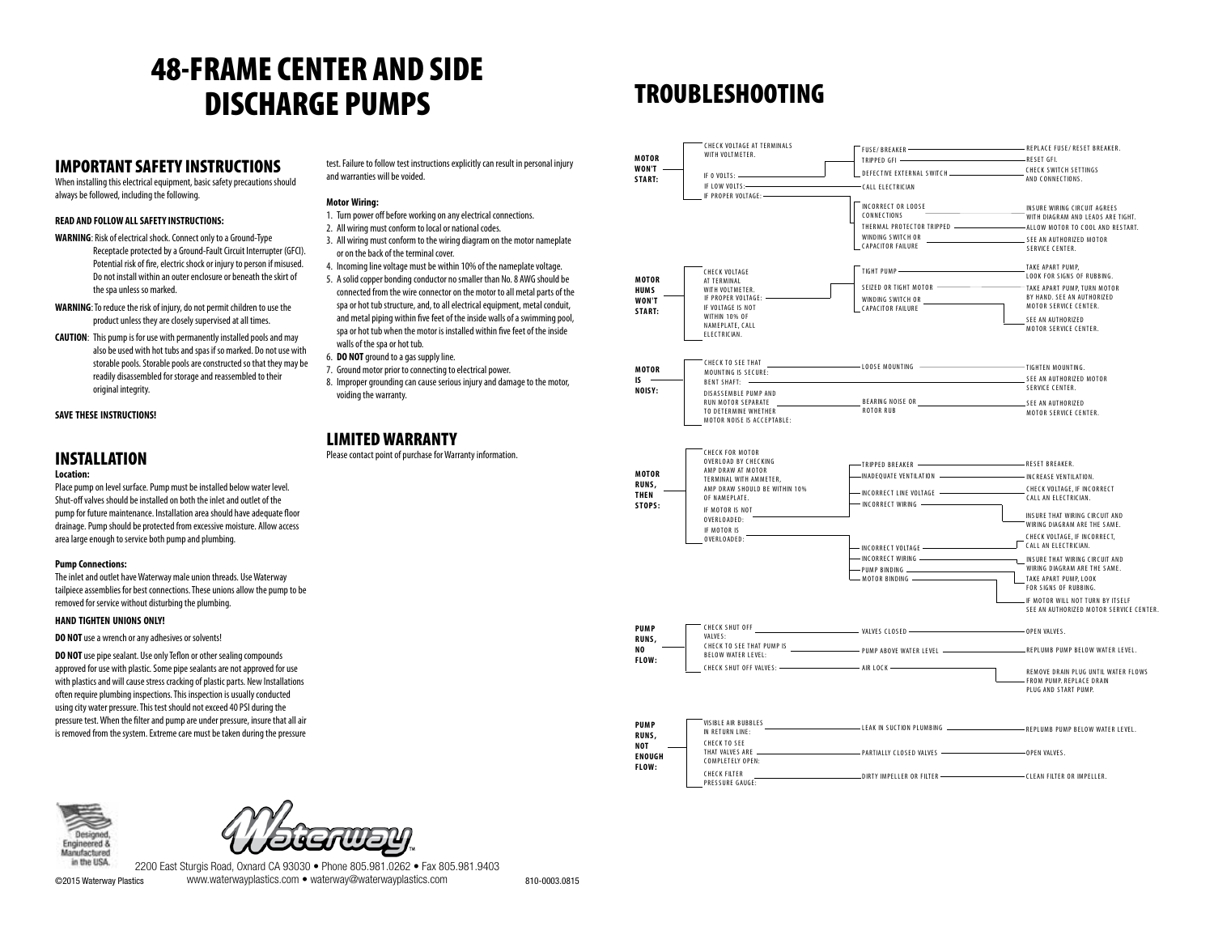# 48-FRAME CENTER AND SIDE DISCHARGE PUMPS

### IMPORTANT SAFETY INSTRUCTIONS

When installing this electrical equipment, basic safety precautions should always be followed, including the following.

#### **READ AND FOLLOW ALL SAFETY INSTRUCTIONS:**

**WARNING**: Risk of electrical shock. Connect only to a Ground-Type Receptacle protected by a Ground-Fault Circuit Interrupter (GFCI). Potential risk of fire, electric shock or injury to person if misused. Do not install within an outer enclosure or beneath the skirt of the spa unless so marked.

- **WARNING**: To reduce the risk of injury, do not permit children to use the product unless they are closely supervised at all times.
- **CAUTION**: This pump is for use with permanently installed pools and may also be used with hot tubs and spas if so marked. Do not use with storable pools. Storable pools are constructed so that they may be readily disassembled for storage and reassembled to their original integrity.

**SAVE THESE INSTRUCTIONS!**

### INSTALLATION

#### **Location:**

Place pump on level surface. Pump must be installed below water level. Shut-off valves should be installed on both the inlet and outlet of the pump for future maintenance. Installation area should have adequate floor drainage. Pump should be protected from excessive moisture. Allow access area large enough to service both pump and plumbing.

#### **Pump Connections:**

The inlet and outlet have Waterway male union threads. Use Waterway tailpiece assemblies for best connections. These unions allow the pump to be removed for service without disturbing the plumbing.

#### **HAND TIGHTEN UNIONS ONLY!**

#### **DO NOT** use a wrench or any adhesives or solvents!

**DO NOT** use pipe sealant. Use only Teflon or other sealing compounds approved for use with plastic. Some pipe sealants are not approved for use with plastics and will cause stress cracking of plastic parts. New Installations often require plumbing inspections. This inspection is usually conducted using city water pressure. This test should not exceed 40 PSI during the pressure test. When the filter and pump are under pressure, insure that all air is removed from the system. Extreme care must be taken during the pressure

test. Failure to follow test instructions explicitly can result in personal injury and warranties will be voided.

#### **Motor Wiring:**

- 1. Turn power off before working on any electrical connections.
- 2. All wiring must conform to local or national codes.
- 3. All wiring must conform to the wiring diagram on the motor nameplate or on the back of the terminal cover.
- 4. Incoming line voltage must be within 10% of the nameplate voltage. 5. A solid copper bonding conductor no smaller than No. 8 AWG should be
- connected from the wire connector on the motor to all metal parts of the spa or hot tub structure, and, to all electrical equipment, metal conduit, and metal piping within five feet of the inside walls of a swimming pool, spa or hot tub when the motor is installed within five feet of the inside walls of the spa or hot tub.
- 6. **DO NOT** ground to a gas supply line.
- 7. Ground motor prior to connecting to electrical power.
- 8. Improper grounding can cause serious injury and damage to the motor, voiding the warranty.

### LIMITED WARRANTY

Please contact point of purchase for Warranty information.

## TROUBLESHOOTING





©2015 Waterway Plastics www.waterwayplastics.com • waterway@waterwayplastics.com 810-0003.0815

2200 East Sturgis Road, Oxnard CA 93030 • Phone 805.981.0262 • Fax 805.981.9403